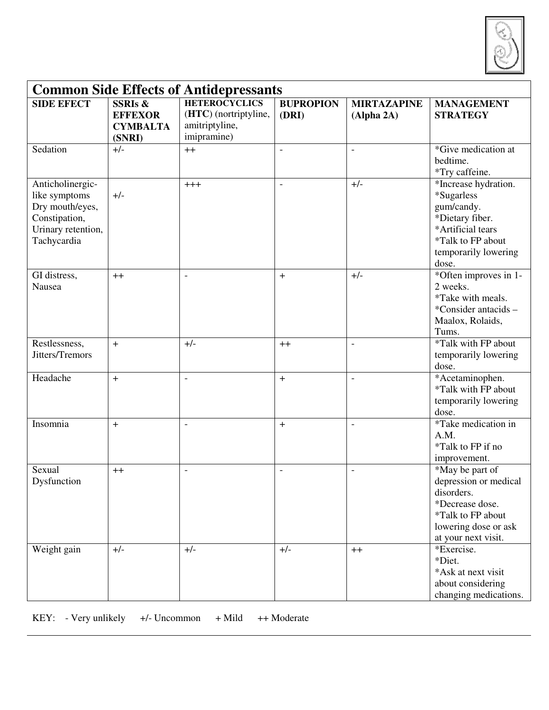

| <b>Common Side Effects of Antidepressants</b>                                                              |                                                                   |                                                                                |                           |                                  |                                                                                                                                                |  |  |
|------------------------------------------------------------------------------------------------------------|-------------------------------------------------------------------|--------------------------------------------------------------------------------|---------------------------|----------------------------------|------------------------------------------------------------------------------------------------------------------------------------------------|--|--|
| <b>SIDE EFECT</b>                                                                                          | <b>SSRIs &amp;</b><br><b>EFFEXOR</b><br><b>CYMBALTA</b><br>(SNRI) | <b>HETEROCYCLICS</b><br>(HTC) (nortriptyline,<br>amitriptyline,<br>imipramine) | <b>BUPROPION</b><br>(DRI) | <b>MIRTAZAPINE</b><br>(Alpha 2A) | <b>MANAGEMENT</b><br><b>STRATEGY</b>                                                                                                           |  |  |
| Sedation                                                                                                   | $+/-$                                                             | $^{++}$                                                                        |                           | $\sim$                           | *Give medication at<br>bedtime.<br>*Try caffeine.                                                                                              |  |  |
| Anticholinergic-<br>like symptoms<br>Dry mouth/eyes,<br>Constipation,<br>Urinary retention,<br>Tachycardia | $+/-$                                                             | $+++$                                                                          | $\overline{a}$            | $+/-$                            | *Increase hydration.<br>*Sugarless<br>gum/candy.<br>*Dietary fiber.<br>*Artificial tears<br>*Talk to FP about<br>temporarily lowering<br>dose. |  |  |
| GI distress,<br>Nausea                                                                                     | $++$                                                              | $\overline{\phantom{a}}$                                                       | $\ddot{}$                 | $+/-$                            | *Often improves in 1-<br>2 weeks.<br>*Take with meals.<br>*Consider antacids –<br>Maalox, Rolaids,<br>Tums.                                    |  |  |
| Restlessness,<br>Jitters/Tremors                                                                           | $+$                                                               | $+/-$                                                                          | $++$                      | $\overline{a}$                   | *Talk with FP about<br>temporarily lowering<br>dose.                                                                                           |  |  |
| Headache                                                                                                   | $+$                                                               | $\overline{\phantom{a}}$                                                       | $\ddot{}$                 | $\overline{\phantom{a}}$         | *Acetaminophen.<br>*Talk with FP about<br>temporarily lowering<br>dose.                                                                        |  |  |
| Insomnia                                                                                                   | $+$                                                               | $\blacksquare$                                                                 | $^{+}$                    | $\overline{\phantom{a}}$         | *Take medication in<br>A.M.<br>*Talk to FP if no<br>improvement.                                                                               |  |  |
| Sexual<br>Dysfunction                                                                                      | $++$                                                              | $\overline{\phantom{a}}$                                                       | $\overline{\phantom{a}}$  | $\overline{\phantom{a}}$         | *May be part of<br>depression or medical<br>disorders.<br>*Decrease dose.<br>*Talk to FP about<br>lowering dose or ask<br>at your next visit.  |  |  |
| Weight gain                                                                                                | $+/-$                                                             | $+/-$                                                                          | $+/-$                     | $++$                             | *Exercise.<br>*Diet.<br>*Ask at next visit<br>about considering<br>changing medications.                                                       |  |  |

KEY: - Very unlikely +/- Uncommon + Mild ++ Moderate